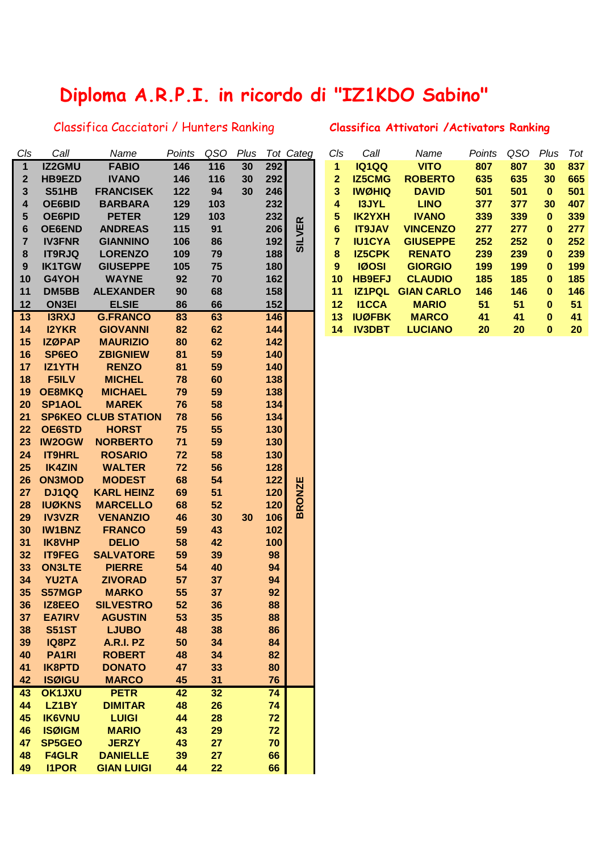## **Diploma A.R.P.I. in ricordo di "IZ1KDO Sabino"**

## Classifica Cacciatori / Hunters Ranking **Classifica Attivatori /Activators Ranking**

| C/s         | Call               | Name                             | Points | QSO | Plus |       | Tot Categ     | Cls             | Call                          | Name                     | Points | QSO | Plus      | Tot |
|-------------|--------------------|----------------------------------|--------|-----|------|-------|---------------|-----------------|-------------------------------|--------------------------|--------|-----|-----------|-----|
| $\mathbf 1$ | IZ2GMU             | <b>FABIO</b>                     | 146    | 116 | 30   | 292   |               | 1               | <b>IQ1QQ</b>                  | <b>VITO</b>              | 807    | 807 | 30        | 837 |
|             | <b>HB9EZD</b>      |                                  | 146    | 116 | 30   | 292   |               | $\mathbf{2}$    | <b>IZ5CMG</b>                 | <b>ROBERTO</b>           | 635    | 635 | 30        | 665 |
| 2           | <b>S51HB</b>       | <b>IVANO</b><br><b>FRANCISEK</b> | 122    | 94  | 30   | 246   |               | 3               | <b>IWØHIQ</b>                 | <b>DAVID</b>             | 501    | 501 | $\pmb{0}$ | 501 |
| 3           |                    |                                  |        |     |      | 232   |               |                 |                               |                          |        | 377 | 30        | 407 |
| 4           | OE6BID             | <b>BARBARA</b>                   | 129    | 103 |      |       |               | 4               | <b>I3JYL</b>                  | <b>LINO</b>              | 377    |     |           |     |
| 5           | <b>OE6PID</b>      | <b>PETER</b>                     | 129    | 103 |      | 232   |               | 5               | <b>IK2YXH</b>                 | <b>IVANO</b>             | 339    | 339 | $\bf{0}$  | 339 |
| 6           | <b>OE6END</b>      | <b>ANDREAS</b>                   | 115    | 91  |      | 206   | <b>SILVER</b> | $6\phantom{1}6$ | <b>IT9JAV</b>                 | <b>VINCENZO</b>          | 277    | 277 | 0         | 277 |
| 7           | <b>IV3FNR</b>      | <b>GIANNINO</b>                  | 106    | 86  |      | 192   |               | $\overline{7}$  | <b>IU1CYA</b>                 | <b>GIUSEPPE</b>          | 252    | 252 | 0         | 252 |
| 8           | <b>IT9RJQ</b>      | <b>LORENZO</b>                   | 109    | 79  |      | 188   |               | 8               | <b>IZ5CPK</b><br><b>IØOSI</b> | <b>RENATO</b>            | 239    | 239 | 0         | 239 |
| 9           | <b>IK1TGW</b>      | <b>GIUSEPPE</b>                  | 105    | 75  |      | 180   |               | 9               |                               | <b>GIORGIO</b>           | 199    | 199 | $\bf{0}$  | 199 |
| 10          | G4YOH              | <b>WAYNE</b>                     | 92     | 70  |      | 162   |               | 10              | <b>HB9EFJ</b>                 | <b>CLAUDIO</b>           | 185    | 185 | $\bf{0}$  | 185 |
| 11          | DM5BB              | <b>ALEXANDER</b>                 | 90     | 68  |      | 158   |               | 11              |                               | <b>IZ1PQL GIAN CARLO</b> | 146    | 146 | 0         | 146 |
| 12          | <b>ON3EI</b>       | <b>ELSIE</b>                     | 86     | 66  |      | 152   |               | 12              | <b>I1CCA</b>                  | <b>MARIO</b>             | 51     | 51  | $\bf{0}$  | 51  |
| 13          | <b>I3RXJ</b>       | <b>G.FRANCO</b>                  | 83     | 63  |      | 146   |               | 13              | <b>IUØFBK</b>                 | <b>MARCO</b>             | 41     | 41  | $\bf{0}$  | 41  |
| 14          | <b>I2YKR</b>       | <b>GIOVANNI</b>                  | 82     | 62  |      | 144   |               | 14              | <b>IV3DBT</b>                 | <b>LUCIANO</b>           | 20     | 20  | $\bf{0}$  | 20  |
| 15          | <b>IZØPAP</b>      | <b>MAURIZIO</b>                  | 80     | 62  |      | 142   |               |                 |                               |                          |        |     |           |     |
| 16          | SP6EO              | <b>ZBIGNIEW</b>                  | 81     | 59  |      | 140   |               |                 |                               |                          |        |     |           |     |
| 17          | IZ1YTH             | <b>RENZO</b>                     | 81     | 59  |      | 140   |               |                 |                               |                          |        |     |           |     |
| 18          | F5ILV              | <b>MICHEL</b>                    | 78     | 60  |      | 138   |               |                 |                               |                          |        |     |           |     |
| 19          | <b>OE8MKQ</b>      | <b>MICHAEL</b>                   | 79     | 59  |      | 138   |               |                 |                               |                          |        |     |           |     |
| 20          | SP1AOL             | <b>MAREK</b>                     | 76     | 58  |      | 134   |               |                 |                               |                          |        |     |           |     |
| 21          |                    | <b>SP6KEO CLUB STATION</b>       | 78     | 56  |      | 134   |               |                 |                               |                          |        |     |           |     |
| 22          | <b>OE6STD</b>      | <b>HORST</b>                     | 75     | 55  |      | 130   |               |                 |                               |                          |        |     |           |     |
| 23          | <b>IW2OGW</b>      | <b>NORBERTO</b>                  | 71     | 59  |      | 130   |               |                 |                               |                          |        |     |           |     |
| 24          | <b>IT9HRL</b>      | <b>ROSARIO</b>                   | 72     | 58  |      | 130   |               |                 |                               |                          |        |     |           |     |
| 25          | <b>IK4ZIN</b>      | <b>WALTER</b>                    | 72     | 56  |      | 128   |               |                 |                               |                          |        |     |           |     |
| 26          | <b>ON3MOD</b>      | <b>MODEST</b>                    | 68     | 54  |      | $122$ | <b>RONZE</b>  |                 |                               |                          |        |     |           |     |
| 27          | DJ1QQ              | <b>KARL HEINZ</b>                | 69     | 51  |      | 120   |               |                 |                               |                          |        |     |           |     |
| 28          | <b>IUØKNS</b>      | <b>MARCELLO</b>                  | 68     | 52  |      | 120   |               |                 |                               |                          |        |     |           |     |
| 29          | <b>IV3VZR</b>      | <b>VENANZIO</b>                  | 46     | 30  | 30   | 106   | $\mathbf{m}$  |                 |                               |                          |        |     |           |     |
| 30          | <b>IW1BNZ</b>      | <b>FRANCO</b>                    | 59     | 43  |      | 102   |               |                 |                               |                          |        |     |           |     |
| 31          | <b>IK8VHP</b>      | <b>DELIO</b>                     | 58     | 42  |      | 100   |               |                 |                               |                          |        |     |           |     |
| 32          | <b>IT9FEG</b>      | <b>SALVATORE</b>                 | 59     | 39  |      | 98    |               |                 |                               |                          |        |     |           |     |
| 33          | <b>ON3LTE</b>      | <b>PIERRE</b>                    | 54     | 40  |      | 94    |               |                 |                               |                          |        |     |           |     |
| 34          | <b>YU2TA</b>       | <b>ZIVORAD</b>                   | 57     | 37  |      | 94    |               |                 |                               |                          |        |     |           |     |
| 35          | <b>S57MGP</b>      | <b>MARKO</b>                     | 55     | 37  |      | 92    |               |                 |                               |                          |        |     |           |     |
| 36          | IZ8EEO             | <b>SILVESTRO</b>                 | 52     | 36  |      | 88    |               |                 |                               |                          |        |     |           |     |
| 37          | <b>EA7IRV</b>      | <b>AGUSTIN</b>                   | 53     | 35  |      | 88    |               |                 |                               |                          |        |     |           |     |
| 38          | <b>S51ST</b>       | <b>LJUBO</b>                     | 48     | 38  |      | 86    |               |                 |                               |                          |        |     |           |     |
| 39          | IQ8PZ              | A.R.I. PZ                        | 50     | 34  |      | 84    |               |                 |                               |                          |        |     |           |     |
| 40          | PA <sub>1</sub> RI | <b>ROBERT</b>                    | 48     | 34  |      | 82    |               |                 |                               |                          |        |     |           |     |
| 41          | <b>IK8PTD</b>      | <b>DONATO</b>                    | 47     | 33  |      | 80    |               |                 |                               |                          |        |     |           |     |
| 42          | <b>ISØIGU</b>      | <b>MARCO</b>                     | 45     | 31  |      | 76    |               |                 |                               |                          |        |     |           |     |
| 43          | <b>OK1JXU</b>      | <b>PETR</b>                      | 42     | 32  |      | 74    |               |                 |                               |                          |        |     |           |     |
| 44          | LZ1BY              | <b>DIMITAR</b>                   | 48     | 26  |      | 74    |               |                 |                               |                          |        |     |           |     |
| 45          | <b>IK6VNU</b>      | <b>LUIGI</b>                     | 44     | 28  |      | 72    |               |                 |                               |                          |        |     |           |     |
| 46          | <b>ISØIGM</b>      | <b>MARIO</b>                     | 43     | 29  |      | 72    |               |                 |                               |                          |        |     |           |     |
| 47          | <b>SP5GEO</b>      | <b>JERZY</b>                     | 43     | 27  |      | 70    |               |                 |                               |                          |        |     |           |     |
| 48          | <b>F4GLR</b>       | <b>DANIELLE</b>                  | 39     | 27  |      | 66    |               |                 |                               |                          |        |     |           |     |
| 49          | <b>I1POR</b>       | <b>GIAN LUIGI</b>                | 44     | 22  |      | 66    |               |                 |                               |                          |        |     |           |     |

| Cls | Call          | Name              | Points | QSO | Plus | Tot |
|-----|---------------|-------------------|--------|-----|------|-----|
| 1   | <b>IQ1QQ</b>  | <b>VITO</b>       | 807    | 807 | 30   | 837 |
| 2   | <b>IZ5CMG</b> | <b>ROBERTO</b>    | 635    | 635 | 30   | 665 |
| 3   | <b>IWØHIQ</b> | <b>DAVID</b>      | 501    | 501 | 0    | 501 |
| 4   | <b>I3JYL</b>  | <b>LINO</b>       | 377    | 377 | 30   | 407 |
| 5   | <b>IK2YXH</b> | <b>IVANO</b>      | 339    | 339 | 0    | 339 |
| 6   | <b>IT9JAV</b> | <b>VINCENZO</b>   | 277    | 277 | 0    | 277 |
| 7   | <b>IU1CYA</b> | <b>GIUSEPPE</b>   | 252    | 252 | 0    | 252 |
| 8   | <b>IZ5CPK</b> | <b>RENATO</b>     | 239    | 239 | 0    | 239 |
| 9   | <b>IØOSI</b>  | <b>GIORGIO</b>    | 199    | 199 | 0    | 199 |
| 10  | <b>HB9EFJ</b> | <b>CLAUDIO</b>    | 185    | 185 | 0    | 185 |
| 11  | <b>IZ1PQL</b> | <b>GIAN CARLO</b> | 146    | 146 | 0    | 146 |
| 12  | <b>I1CCA</b>  | <b>MARIO</b>      | 51     | 51  | 0    | 51  |
| 13  | <b>IUØFBK</b> | <b>MARCO</b>      | 41     | 41  | 0    | 41  |
| 14  | <b>IV3DBT</b> | <b>LUCIANO</b>    | 20     | 20  | 0    | 20  |